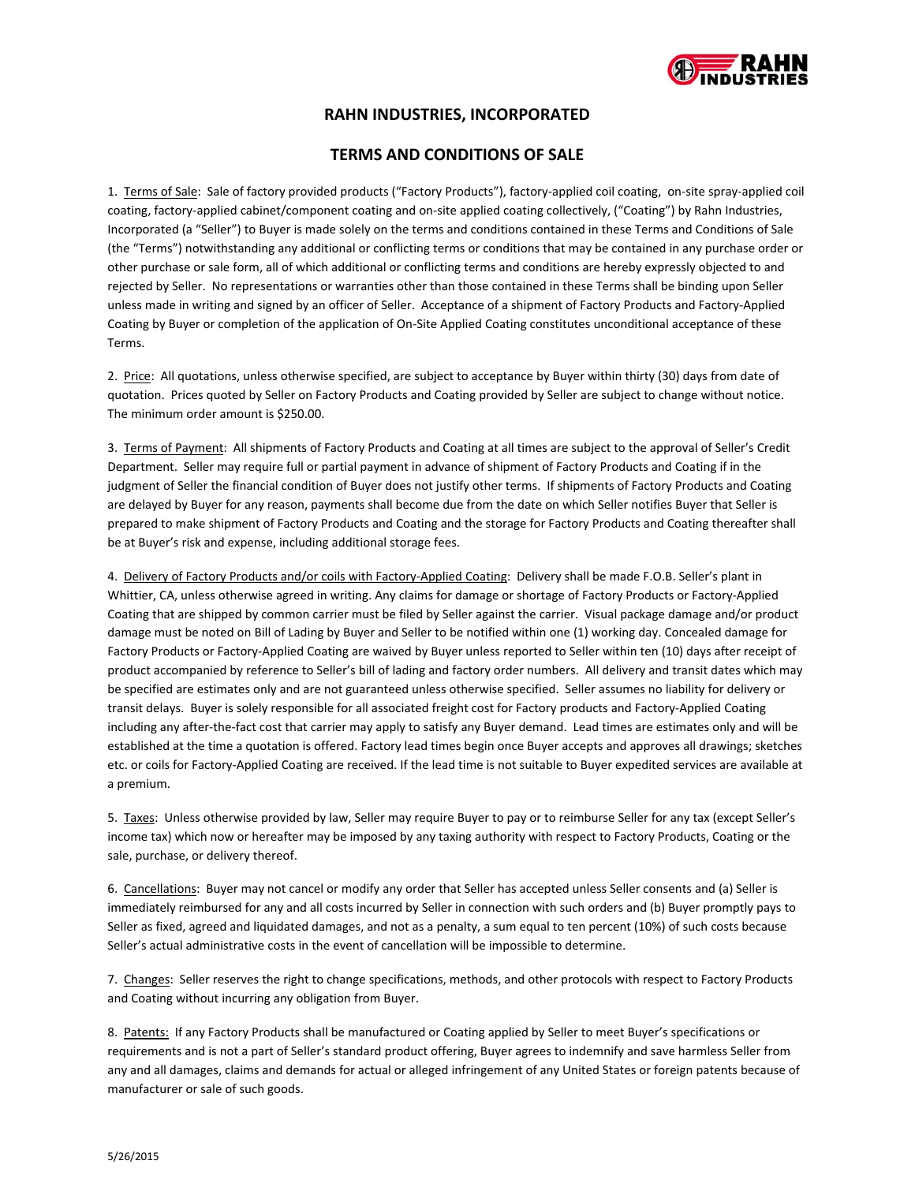

# **RAHN INDUSTRIES, INCORPORATED**

### **TERMS AND CONDITIONS OF SALE**

1. Terms of Sale: Sale of factory provided products ("Factory Products"), factory‐applied coil coating, on‐site spray‐applied coil coating, factory-applied cabinet/component coating and on-site applied coating collectively, ("Coating") by Rahn Industries, Incorporated (a "Seller") to Buyer is made solely on the terms and conditions contained in these Terms and Conditions of Sale (the "Terms") notwithstanding any additional or conflicting terms or conditions that may be contained in any purchase order or other purchase or sale form, all of which additional or conflicting terms and conditions are hereby expressly objected to and rejected by Seller. No representations or warranties other than those contained in these Terms shall be binding upon Seller unless made in writing and signed by an officer of Seller. Acceptance of a shipment of Factory Products and Factory‐Applied Coating by Buyer or completion of the application of On‐Site Applied Coating constitutes unconditional acceptance of these Terms.

2. Price: All quotations, unless otherwise specified, are subject to acceptance by Buyer within thirty (30) days from date of quotation. Prices quoted by Seller on Factory Products and Coating provided by Seller are subject to change without notice. The minimum order amount is \$250.00.

3. Terms of Payment: All shipments of Factory Products and Coating at all times are subject to the approval of Seller's Credit Department. Seller may require full or partial payment in advance of shipment of Factory Products and Coating if in the judgment of Seller the financial condition of Buyer does not justify other terms. If shipments of Factory Products and Coating are delayed by Buyer for any reason, payments shall become due from the date on which Seller notifies Buyer that Seller is prepared to make shipment of Factory Products and Coating and the storage for Factory Products and Coating thereafter shall be at Buyer's risk and expense, including additional storage fees.

4. Delivery of Factory Products and/or coils with Factory-Applied Coating: Delivery shall be made F.O.B. Seller's plant in Whittier, CA, unless otherwise agreed in writing. Any claims for damage or shortage of Factory Products or Factory‐Applied Coating that are shipped by common carrier must be filed by Seller against the carrier. Visual package damage and/or product damage must be noted on Bill of Lading by Buyer and Seller to be notified within one (1) working day. Concealed damage for Factory Products or Factory‐Applied Coating are waived by Buyer unless reported to Seller within ten (10) days after receipt of product accompanied by reference to Seller's bill of lading and factory order numbers. All delivery and transit dates which may be specified are estimates only and are not guaranteed unless otherwise specified. Seller assumes no liability for delivery or transit delays. Buyer is solely responsible for all associated freight cost for Factory products and Factory‐Applied Coating including any after‐the‐fact cost that carrier may apply to satisfy any Buyer demand. Lead times are estimates only and will be established at the time a quotation is offered. Factory lead times begin once Buyer accepts and approves all drawings; sketches etc. or coils for Factory‐Applied Coating are received. If the lead time is not suitable to Buyer expedited services are available at a premium.

5. Taxes: Unless otherwise provided by law, Seller may require Buyer to pay or to reimburse Seller for any tax (except Seller's income tax) which now or hereafter may be imposed by any taxing authority with respect to Factory Products, Coating or the sale, purchase, or delivery thereof.

6. Cancellations: Buyer may not cancel or modify any order that Seller has accepted unless Seller consents and (a) Seller is immediately reimbursed for any and all costs incurred by Seller in connection with such orders and (b) Buyer promptly pays to Seller as fixed, agreed and liquidated damages, and not as a penalty, a sum equal to ten percent (10%) of such costs because Seller's actual administrative costs in the event of cancellation will be impossible to determine.

7. Changes: Seller reserves the right to change specifications, methods, and other protocols with respect to Factory Products and Coating without incurring any obligation from Buyer.

8. Patents: If any Factory Products shall be manufactured or Coating applied by Seller to meet Buyer's specifications or requirements and is not a part of Seller's standard product offering, Buyer agrees to indemnify and save harmless Seller from any and all damages, claims and demands for actual or alleged infringement of any United States or foreign patents because of manufacturer or sale of such goods.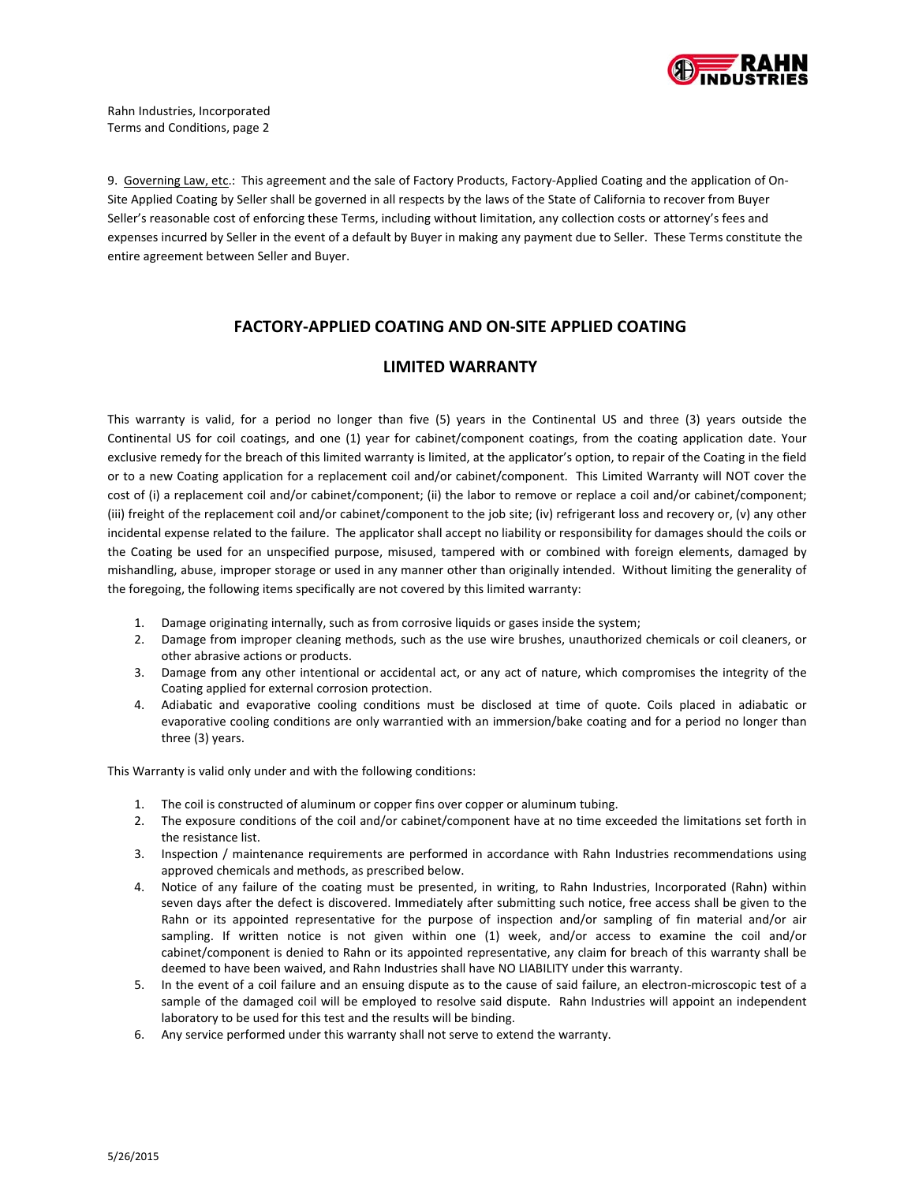

9. Governing Law, etc.: This agreement and the sale of Factory Products, Factory-Applied Coating and the application of On-Site Applied Coating by Seller shall be governed in all respects by the laws of the State of California to recover from Buyer Seller's reasonable cost of enforcing these Terms, including without limitation, any collection costs or attorney's fees and expenses incurred by Seller in the event of a default by Buyer in making any payment due to Seller. These Terms constitute the entire agreement between Seller and Buyer.

## **FACTORY‐APPLIED COATING AND ON‐SITE APPLIED COATING**

#### **LIMITED WARRANTY**

This warranty is valid, for a period no longer than five (5) years in the Continental US and three (3) years outside the Continental US for coil coatings, and one (1) year for cabinet/component coatings, from the coating application date. Your exclusive remedy for the breach of this limited warranty is limited, at the applicator's option, to repair of the Coating in the field or to a new Coating application for a replacement coil and/or cabinet/component. This Limited Warranty will NOT cover the cost of (i) a replacement coil and/or cabinet/component; (ii) the labor to remove or replace a coil and/or cabinet/component; (iii) freight of the replacement coil and/or cabinet/component to the job site; (iv) refrigerant loss and recovery or, (v) any other incidental expense related to the failure. The applicator shall accept no liability or responsibility for damages should the coils or the Coating be used for an unspecified purpose, misused, tampered with or combined with foreign elements, damaged by mishandling, abuse, improper storage or used in any manner other than originally intended. Without limiting the generality of the foregoing, the following items specifically are not covered by this limited warranty:

- 1. Damage originating internally, such as from corrosive liquids or gases inside the system;
- 2. Damage from improper cleaning methods, such as the use wire brushes, unauthorized chemicals or coil cleaners, or other abrasive actions or products.
- 3. Damage from any other intentional or accidental act, or any act of nature, which compromises the integrity of the Coating applied for external corrosion protection.
- 4. Adiabatic and evaporative cooling conditions must be disclosed at time of quote. Coils placed in adiabatic or evaporative cooling conditions are only warrantied with an immersion/bake coating and for a period no longer than three (3) years.

This Warranty is valid only under and with the following conditions:

- 1. The coil is constructed of aluminum or copper fins over copper or aluminum tubing.
- 2. The exposure conditions of the coil and/or cabinet/component have at no time exceeded the limitations set forth in the resistance list.
- 3. Inspection / maintenance requirements are performed in accordance with Rahn Industries recommendations using approved chemicals and methods, as prescribed below.
- 4. Notice of any failure of the coating must be presented, in writing, to Rahn Industries, Incorporated (Rahn) within seven days after the defect is discovered. Immediately after submitting such notice, free access shall be given to the Rahn or its appointed representative for the purpose of inspection and/or sampling of fin material and/or air sampling. If written notice is not given within one (1) week, and/or access to examine the coil and/or cabinet/component is denied to Rahn or its appointed representative, any claim for breach of this warranty shall be deemed to have been waived, and Rahn Industries shall have NO LIABILITY under this warranty.
- 5. In the event of a coil failure and an ensuing dispute as to the cause of said failure, an electron-microscopic test of a sample of the damaged coil will be employed to resolve said dispute. Rahn Industries will appoint an independent laboratory to be used for this test and the results will be binding.
- 6. Any service performed under this warranty shall not serve to extend the warranty.